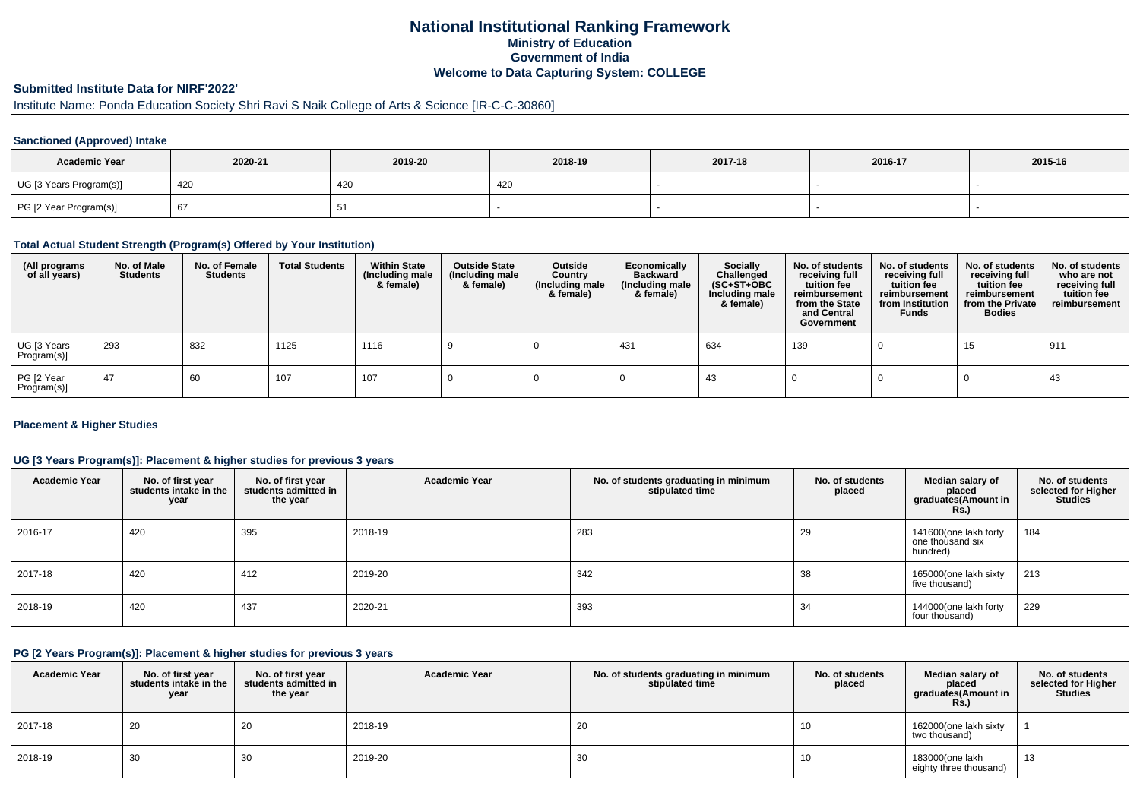### **National Institutional Ranking FrameworkMinistry of Education Government of IndiaWelcome to Data Capturing System: COLLEGE**

# **Submitted Institute Data for NIRF'2022'**

# Institute Name: Ponda Education Society Shri Ravi S Naik College of Arts & Science [IR-C-C-30860]

### **Sanctioned (Approved) Intake**

| <b>Academic Year</b>    | 2020-21  | 2019-20 | 2018-19 | 2017-18 | 2016-17 | 2015-16 |
|-------------------------|----------|---------|---------|---------|---------|---------|
| UG [3 Years Program(s)] | 420      | 420     | 420     |         |         |         |
| PG [2 Year Program(s)]  | $\sigma$ |         |         |         |         |         |

#### **Total Actual Student Strength (Program(s) Offered by Your Institution)**

| (All programs<br>of all years) | No. of Male<br><b>Students</b> | No. of Female<br>Students | <b>Total Students</b> | <b>Within State</b><br>(Including male<br>& female) | <b>Outside State</b><br>(Including male<br>& female) | Outside<br>Country<br>(Including male<br>& female) | Economically<br>Backward<br>(Including male<br>& female) | <b>Socially</b><br>Challenged<br>$(SC+ST+OBC)$<br>Including male<br>& female) | No. of students<br>receiving full<br>tuition fee<br>reimbursement<br>from the State<br>and Central<br>Government | No. of students<br>receiving full<br>tuition fee<br>reimbursement<br>from Institution<br><b>Funds</b> | No. of students<br>receiving full<br>tuition fee<br>reimbursement<br>from the Private<br><b>Bodies</b> | No. of students<br>who are not<br>receiving full<br>tuition fee<br>reimbursement |
|--------------------------------|--------------------------------|---------------------------|-----------------------|-----------------------------------------------------|------------------------------------------------------|----------------------------------------------------|----------------------------------------------------------|-------------------------------------------------------------------------------|------------------------------------------------------------------------------------------------------------------|-------------------------------------------------------------------------------------------------------|--------------------------------------------------------------------------------------------------------|----------------------------------------------------------------------------------|
| UG [3 Years<br>Program(s)]     | 293                            | 832                       | 1125                  | 1116                                                |                                                      |                                                    | 431                                                      | 634                                                                           | 139                                                                                                              |                                                                                                       | 15                                                                                                     | 911                                                                              |
| PG [2 Year<br>Program(s)]      | 47                             | 60                        | 107                   | 107                                                 |                                                      |                                                    |                                                          | 43                                                                            |                                                                                                                  |                                                                                                       |                                                                                                        | 43                                                                               |

### **Placement & Higher Studies**

### **UG [3 Years Program(s)]: Placement & higher studies for previous 3 years**

| <b>Academic Year</b> | No. of first year<br>students intake in the<br>year | No. of first year<br>students admitted in<br>the year | <b>Academic Year</b> | No. of students graduating in minimum<br>stipulated time | No. of students<br>placed | Median salary of<br>placed<br>graduates(Amount in<br>Rs. | No. of students<br>selected for Higher<br><b>Studies</b> |
|----------------------|-----------------------------------------------------|-------------------------------------------------------|----------------------|----------------------------------------------------------|---------------------------|----------------------------------------------------------|----------------------------------------------------------|
| 2016-17              | 420                                                 | 395                                                   | 2018-19              | 283                                                      | 29                        | 141600(one lakh forty<br>one thousand six<br>hundred)    | 184                                                      |
| 2017-18              | 420                                                 | 412                                                   | 2019-20              | 342                                                      | 38                        | 165000(one lakh sixty<br>five thousand)                  | 213                                                      |
| 2018-19              | 420                                                 | 437                                                   | 2020-21              | 393                                                      | 34                        | 144000(one lakh forty<br>four thousand)                  | 229                                                      |

#### **PG [2 Years Program(s)]: Placement & higher studies for previous 3 years**

| <b>Academic Year</b> | No. of first year<br>students intake in the I<br>year | No. of first vear<br>students admitted in<br>the year | <b>Academic Year</b> | No. of students graduating in minimum<br>stipulated time | No. of students<br>placed | Median salary of<br>placed<br>graduates(Amount in<br>Rs.) | No. of students<br>selected for Higher<br><b>Studies</b> |
|----------------------|-------------------------------------------------------|-------------------------------------------------------|----------------------|----------------------------------------------------------|---------------------------|-----------------------------------------------------------|----------------------------------------------------------|
| 2017-18              | 20                                                    | 20                                                    | 2018-19              | 20                                                       | 10                        | 162000(one lakh sixty<br>two thousand)                    |                                                          |
| 2018-19              | 30                                                    | 30                                                    | 2019-20              | 30                                                       | 10                        | 183000(one lakh<br>eighty three thousand)                 | 13                                                       |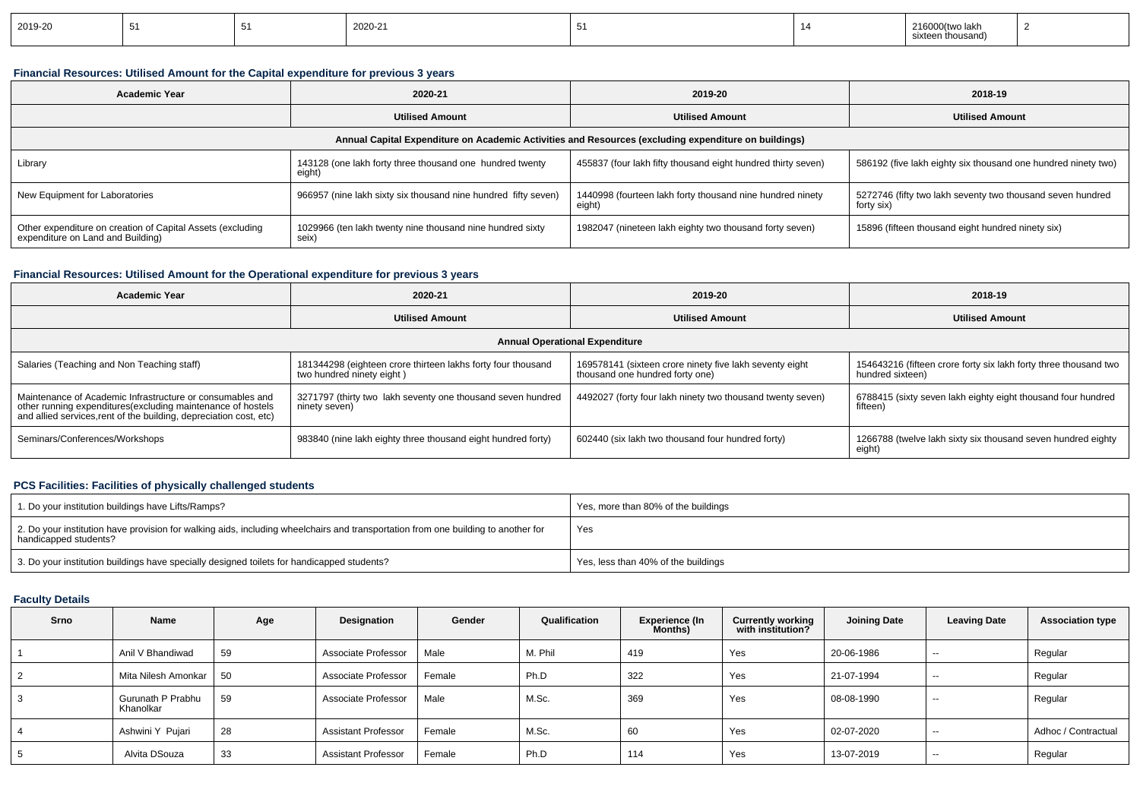| ----- | 2019-20 |  |  | 2020-21 |  |  | ™00tw.<br>lakr<br>thousano. |  |
|-------|---------|--|--|---------|--|--|-----------------------------|--|
|-------|---------|--|--|---------|--|--|-----------------------------|--|

### **Financial Resources: Utilised Amount for the Capital expenditure for previous 3 years**

| <b>Academic Year</b>                                                                            | 2020-21                                                            | 2019-20                                                                                              | 2018-19                                                                  |  |
|-------------------------------------------------------------------------------------------------|--------------------------------------------------------------------|------------------------------------------------------------------------------------------------------|--------------------------------------------------------------------------|--|
| <b>Utilised Amount</b>                                                                          |                                                                    | <b>Utilised Amount</b>                                                                               | <b>Utilised Amount</b>                                                   |  |
|                                                                                                 |                                                                    | Annual Capital Expenditure on Academic Activities and Resources (excluding expenditure on buildings) |                                                                          |  |
| Library                                                                                         | 143128 (one lakh forty three thousand one hundred twenty<br>eight) | 455837 (four lakh fifty thousand eight hundred thirty seven)                                         | 586192 (five lakh eighty six thousand one hundred ninety two)            |  |
| New Equipment for Laboratories                                                                  | 966957 (nine lakh sixty six thousand nine hundred fifty seven)     | 1440998 (fourteen lakh forty thousand nine hundred ninety<br>eight)                                  | 5272746 (fifty two lakh seventy two thousand seven hundred<br>forty six) |  |
| Other expenditure on creation of Capital Assets (excluding<br>expenditure on Land and Building) | 1029966 (ten lakh twenty nine thousand nine hundred sixty<br>seix) | 1982047 (nineteen lakh eighty two thousand forty seven)                                              | 15896 (fifteen thousand eight hundred ninety six)                        |  |

### **Financial Resources: Utilised Amount for the Operational expenditure for previous 3 years**

| <b>Academic Year</b>                                                                                                                                                                            | 2020-21                                                                                   | 2019-20                                                                                    | 2018-19                                                                              |  |  |
|-------------------------------------------------------------------------------------------------------------------------------------------------------------------------------------------------|-------------------------------------------------------------------------------------------|--------------------------------------------------------------------------------------------|--------------------------------------------------------------------------------------|--|--|
| <b>Utilised Amount</b>                                                                                                                                                                          |                                                                                           | <b>Utilised Amount</b>                                                                     | <b>Utilised Amount</b>                                                               |  |  |
|                                                                                                                                                                                                 |                                                                                           | <b>Annual Operational Expenditure</b>                                                      |                                                                                      |  |  |
| Salaries (Teaching and Non Teaching staff)                                                                                                                                                      | 181344298 (eighteen crore thirteen lakhs forty four thousand<br>two hundred ninety eight) | 169578141 (sixteen crore ninety five lakh seventy eight<br>thousand one hundred forty one) | 154643216 (fifteen crore forty six lakh forty three thousand two<br>hundred sixteen) |  |  |
| Maintenance of Academic Infrastructure or consumables and<br>other running expenditures (excluding maintenance of hostels<br>and allied services, rent of the building, depreciation cost, etc) | 3271797 (thirty two lakh seventy one thousand seven hundred<br>ninety seven)              | 4492027 (forty four lakh ninety two thousand twenty seven)                                 | 6788415 (sixty seven lakh eighty eight thousand four hundred<br>fifteen)             |  |  |
| Seminars/Conferences/Workshops                                                                                                                                                                  | 983840 (nine lakh eighty three thousand eight hundred forty)                              | 602440 (six lakh two thousand four hundred forty)                                          | 1266788 (twelve lakh sixty six thousand seven hundred eighty<br>eight)               |  |  |

### **PCS Facilities: Facilities of physically challenged students**

| 1. Do your institution buildings have Lifts/Ramps?                                                                                                         | Yes, more than 80% of the buildings |
|------------------------------------------------------------------------------------------------------------------------------------------------------------|-------------------------------------|
| 2. Do your institution have provision for walking aids, including wheelchairs and transportation from one building to another for<br>handicapped students? | Yes                                 |
| 3. Do your institution buildings have specially designed toilets for handicapped students?                                                                 | Yes, less than 40% of the buildings |

### **Faculty Details**

| Srno | Name                           | Age | Designation                | Gender | Qualification | Experience (In<br>Months) | <b>Currently working</b><br>with institution? | <b>Joining Date</b> | <b>Leaving Date</b> | <b>Association type</b> |
|------|--------------------------------|-----|----------------------------|--------|---------------|---------------------------|-----------------------------------------------|---------------------|---------------------|-------------------------|
|      | Anil V Bhandiwad               | 59  | Associate Professor        | Male   | M. Phil       | 419                       | Yes                                           | 20-06-1986          | $\sim$              | Regular                 |
| 2    | Mita Nilesh Amonkar            | 50  | Associate Professor        | Female | Ph.D          | 322                       | Yes                                           | 21-07-1994          | $\sim$              | Regular                 |
| 3    | Gurunath P Prabhu<br>Khanolkar | 59  | Associate Professor        | Male   | M.Sc.         | 369                       | Yes                                           | 08-08-1990          | $- -$               | Regular                 |
| 4    | Ashwini Y Pujari               | 28  | <b>Assistant Professor</b> | Female | M.Sc.         | 60                        | Yes                                           | 02-07-2020          | $- -$               | Adhoc / Contractual     |
| 5    | Alvita DSouza                  | 33  | <b>Assistant Professor</b> | Female | Ph.D          | 114                       | Yes                                           | 13-07-2019          | $- -$               | Regular                 |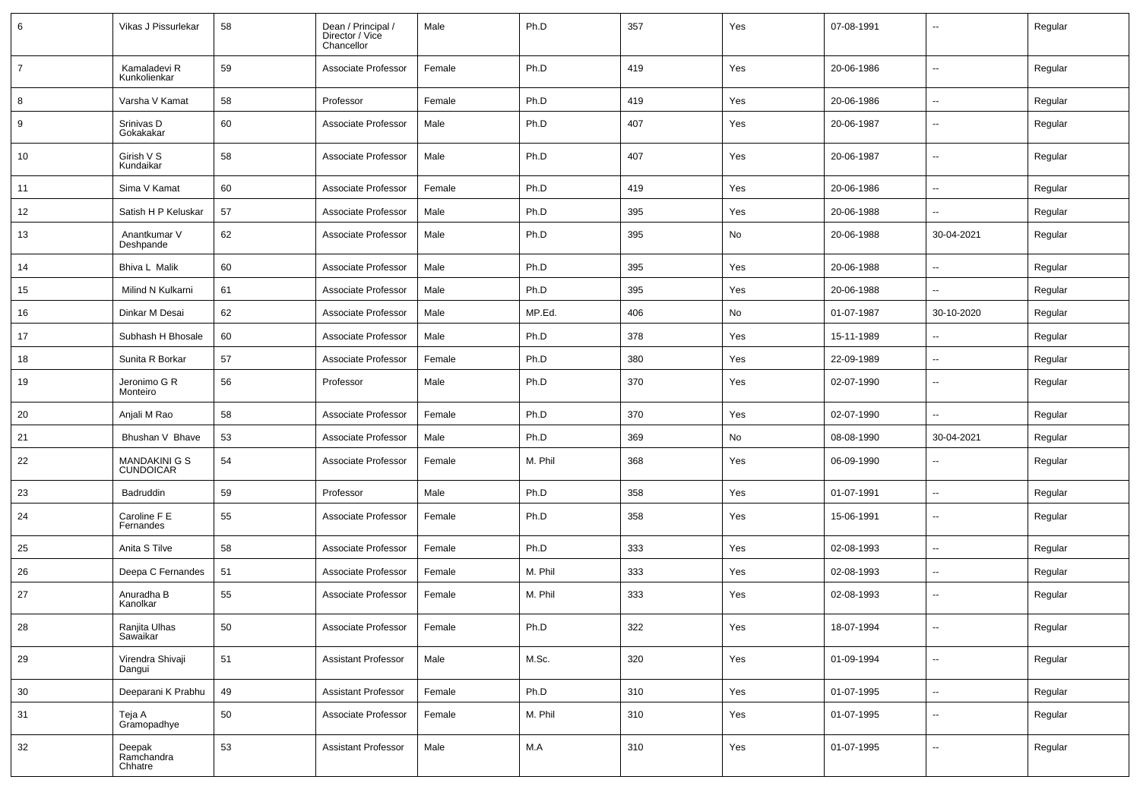| 6              | Vikas J Pissurlekar               | 58 | Dean / Principal /<br>Director / Vice<br>Chancellor | Male   | Ph.D    | 357 | Yes | 07-08-1991 |                          | Regular |
|----------------|-----------------------------------|----|-----------------------------------------------------|--------|---------|-----|-----|------------|--------------------------|---------|
| $\overline{7}$ | Kamaladevi R<br>Kunkolienkar      | 59 | Associate Professor                                 | Female | Ph.D    | 419 | Yes | 20-06-1986 | ⊷.                       | Regular |
| 8              | Varsha V Kamat                    | 58 | Professor                                           | Female | Ph.D    | 419 | Yes | 20-06-1986 | $\overline{\phantom{a}}$ | Regular |
| 9              | Srinivas D<br>Gokakakar           | 60 | Associate Professor                                 | Male   | Ph.D    | 407 | Yes | 20-06-1987 | ⊷.                       | Regular |
| 10             | Girish V S<br>Kundaikar           | 58 | Associate Professor                                 | Male   | Ph.D    | 407 | Yes | 20-06-1987 | ⊷.                       | Regular |
| 11             | Sima V Kamat                      | 60 | Associate Professor                                 | Female | Ph.D    | 419 | Yes | 20-06-1986 | ⊷.                       | Regular |
| 12             | Satish H P Keluskar               | 57 | Associate Professor                                 | Male   | Ph.D    | 395 | Yes | 20-06-1988 | $\sim$                   | Regular |
| 13             | Anantkumar V<br>Deshpande         | 62 | Associate Professor                                 | Male   | Ph.D    | 395 | No  | 20-06-1988 | 30-04-2021               | Regular |
| 14             | Bhiva L Malik                     | 60 | Associate Professor                                 | Male   | Ph.D    | 395 | Yes | 20-06-1988 | --                       | Regular |
| 15             | Milind N Kulkarni                 | 61 | Associate Professor                                 | Male   | Ph.D    | 395 | Yes | 20-06-1988 | -−                       | Regular |
| 16             | Dinkar M Desai                    | 62 | Associate Professor                                 | Male   | MP.Ed.  | 406 | No  | 01-07-1987 | 30-10-2020               | Regular |
| 17             | Subhash H Bhosale                 | 60 | Associate Professor                                 | Male   | Ph.D    | 378 | Yes | 15-11-1989 | --                       | Regular |
| 18             | Sunita R Borkar                   | 57 | Associate Professor                                 | Female | Ph.D    | 380 | Yes | 22-09-1989 | н.                       | Regular |
| 19             | Jeronimo G R<br>Monteiro          | 56 | Professor                                           | Male   | Ph.D    | 370 | Yes | 02-07-1990 | ⊷.                       | Regular |
| 20             | Anjali M Rao                      | 58 | Associate Professor                                 | Female | Ph.D    | 370 | Yes | 02-07-1990 | $\sim$                   | Regular |
| 21             | Bhushan V Bhave                   | 53 | Associate Professor                                 | Male   | Ph.D    | 369 | No  | 08-08-1990 | 30-04-2021               | Regular |
| 22             | MANDAKINI G S<br><b>CUNDOICAR</b> | 54 | Associate Professor                                 | Female | M. Phil | 368 | Yes | 06-09-1990 |                          | Regular |
| 23             | Badruddin                         | 59 | Professor                                           | Male   | Ph.D    | 358 | Yes | 01-07-1991 | Ξ.                       | Regular |
| 24             | Caroline F E<br>Fernandes         | 55 | Associate Professor                                 | Female | Ph.D    | 358 | Yes | 15-06-1991 | $\mathbf{u}$             | Regular |
| 25             | Anita S Tilve                     | 58 | Associate Professor                                 | Female | Ph.D    | 333 | Yes | 02-08-1993 | $\mathbf{u}$             | Regular |
| 26             | Deepa C Fernandes                 | 51 | Associate Professor                                 | Female | M. Phil | 333 | Yes | 02-08-1993 | ⊷.                       | Regular |
| 27             | Anuradha B<br>Kanolkar            | 55 | Associate Professor                                 | Female | M. Phil | 333 | Yes | 02-08-1993 | -−                       | Regular |
| 28             | Ranjita Ulhas<br>Sawaikar         | 50 | Associate Professor                                 | Female | Ph.D    | 322 | Yes | 18-07-1994 | н,                       | Regular |
| 29             | Virendra Shivaji<br>Dangui        | 51 | <b>Assistant Professor</b>                          | Male   | M.Sc.   | 320 | Yes | 01-09-1994 | $\overline{\phantom{a}}$ | Regular |
| 30             | Deeparani K Prabhu                | 49 | <b>Assistant Professor</b>                          | Female | Ph.D    | 310 | Yes | 01-07-1995 | ш,                       | Regular |
| 31             | Teja A<br>Gramopadhye             | 50 | Associate Professor                                 | Female | M. Phil | 310 | Yes | 01-07-1995 | $\overline{\phantom{a}}$ | Regular |
| 32             | Deepak<br>Ramchandra<br>Chhatre   | 53 | <b>Assistant Professor</b>                          | Male   | M.A     | 310 | Yes | 01-07-1995 | $\overline{\phantom{a}}$ | Regular |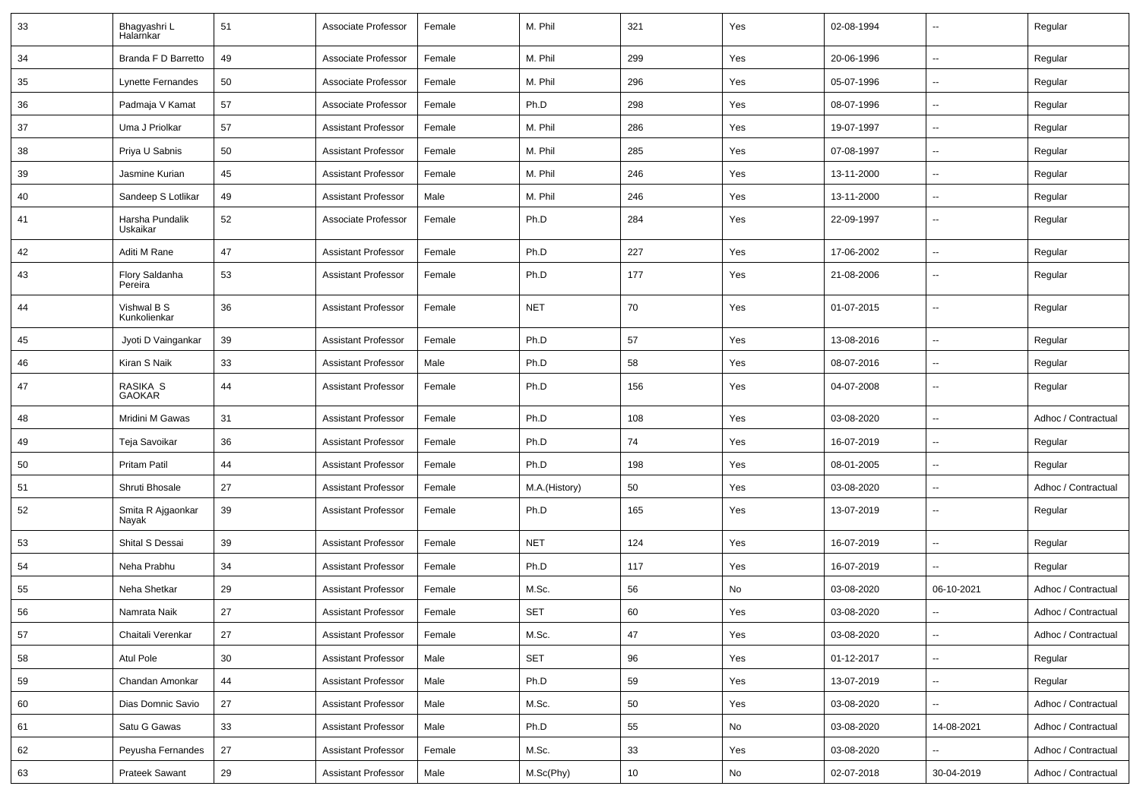| 33 | Bhagyashri L<br>Halarnkar   | 51              | Associate Professor        | Female | M. Phil       | 321 | Yes | 02-08-1994 | $\overline{\phantom{a}}$ | Regular             |
|----|-----------------------------|-----------------|----------------------------|--------|---------------|-----|-----|------------|--------------------------|---------------------|
| 34 | Branda F D Barretto         | 49              | Associate Professor        | Female | M. Phil       | 299 | Yes | 20-06-1996 | Ξ.                       | Regular             |
| 35 | <b>Lynette Fernandes</b>    | 50              | Associate Professor        | Female | M. Phil       | 296 | Yes | 05-07-1996 | Ξ.                       | Regular             |
| 36 | Padmaja V Kamat             | 57              | Associate Professor        | Female | Ph.D          | 298 | Yes | 08-07-1996 | $\overline{\phantom{a}}$ | Regular             |
| 37 | Uma J Priolkar              | 57              | <b>Assistant Professor</b> | Female | M. Phil       | 286 | Yes | 19-07-1997 | $\overline{a}$           | Regular             |
| 38 | Priya U Sabnis              | 50              | <b>Assistant Professor</b> | Female | M. Phil       | 285 | Yes | 07-08-1997 | $\overline{a}$           | Regular             |
| 39 | Jasmine Kurian              | 45              | <b>Assistant Professor</b> | Female | M. Phil       | 246 | Yes | 13-11-2000 | $\sim$                   | Regular             |
| 40 | Sandeep S Lotlikar          | 49              | <b>Assistant Professor</b> | Male   | M. Phil       | 246 | Yes | 13-11-2000 | ۰.                       | Regular             |
| 41 | Harsha Pundalik<br>Uskaikar | 52              | Associate Professor        | Female | Ph.D          | 284 | Yes | 22-09-1997 | Ξ.                       | Regular             |
| 42 | Aditi M Rane                | 47              | <b>Assistant Professor</b> | Female | Ph.D          | 227 | Yes | 17-06-2002 | Ξ.                       | Regular             |
| 43 | Flory Saldanha<br>Pereira   | 53              | <b>Assistant Professor</b> | Female | Ph.D          | 177 | Yes | 21-08-2006 | $\sim$                   | Regular             |
| 44 | Vishwal B S<br>Kunkolienkar | 36              | <b>Assistant Professor</b> | Female | <b>NET</b>    | 70  | Yes | 01-07-2015 | $\mathbf{u}$             | Regular             |
| 45 | Jyoti D Vaingankar          | 39              | <b>Assistant Professor</b> | Female | Ph.D          | 57  | Yes | 13-08-2016 | Ξ.                       | Regular             |
| 46 | Kiran S Naik                | 33              | <b>Assistant Professor</b> | Male   | Ph.D          | 58  | Yes | 08-07-2016 | ۰.                       | Regular             |
| 47 | RASIKA S<br><b>GAOKAR</b>   | 44              | <b>Assistant Professor</b> | Female | Ph.D          | 156 | Yes | 04-07-2008 | $\overline{\phantom{a}}$ | Regular             |
| 48 | Mridini M Gawas             | 31              | <b>Assistant Professor</b> | Female | Ph.D          | 108 | Yes | 03-08-2020 | $\overline{\phantom{a}}$ | Adhoc / Contractual |
| 49 | Teja Savoikar               | 36              | <b>Assistant Professor</b> | Female | Ph.D          | 74  | Yes | 16-07-2019 | $\sim$                   | Regular             |
| 50 | <b>Pritam Patil</b>         | 44              | <b>Assistant Professor</b> | Female | Ph.D          | 198 | Yes | 08-01-2005 | $\overline{a}$           | Regular             |
| 51 | Shruti Bhosale              | 27              | <b>Assistant Professor</b> | Female | M.A.(History) | 50  | Yes | 03-08-2020 | Ξ.                       | Adhoc / Contractual |
| 52 | Smita R Ajgaonkar<br>Nayak  | 39              | <b>Assistant Professor</b> | Female | Ph.D          | 165 | Yes | 13-07-2019 | $\sim$                   | Regular             |
| 53 | Shital S Dessai             | 39              | <b>Assistant Professor</b> | Female | <b>NET</b>    | 124 | Yes | 16-07-2019 | $\sim$                   | Regular             |
| 54 | Neha Prabhu                 | 34              | <b>Assistant Professor</b> | Female | Ph.D          | 117 | Yes | 16-07-2019 | $\overline{a}$           | Regular             |
| 55 | Neha Shetkar                | 29              | <b>Assistant Professor</b> | Female | M.Sc.         | 56  | No  | 03-08-2020 | 06-10-2021               | Adhoc / Contractual |
| 56 | Namrata Naik                | 27              | <b>Assistant Professor</b> | Female | <b>SET</b>    | 60  | Yes | 03-08-2020 | $\overline{a}$           | Adhoc / Contractual |
| 57 | Chaitali Verenkar           | 27              | <b>Assistant Professor</b> | Female | M.Sc.         | 47  | Yes | 03-08-2020 | ц.                       | Adhoc / Contractual |
| 58 | Atul Pole                   | 30 <sup>°</sup> | <b>Assistant Professor</b> | Male   | SET           | 96  | Yes | 01-12-2017 | $\overline{\phantom{a}}$ | Regular             |
| 59 | Chandan Amonkar             | 44              | <b>Assistant Professor</b> | Male   | Ph.D          | 59  | Yes | 13-07-2019 | ц.                       | Regular             |
| 60 | Dias Domnic Savio           | 27              | <b>Assistant Professor</b> | Male   | M.Sc.         | 50  | Yes | 03-08-2020 | ш.                       | Adhoc / Contractual |
| 61 | Satu G Gawas                | 33              | <b>Assistant Professor</b> | Male   | Ph.D          | 55  | No  | 03-08-2020 | 14-08-2021               | Adhoc / Contractual |
| 62 | Peyusha Fernandes           | 27              | <b>Assistant Professor</b> | Female | M.Sc.         | 33  | Yes | 03-08-2020 |                          | Adhoc / Contractual |
| 63 | <b>Prateek Sawant</b>       | 29              | <b>Assistant Professor</b> | Male   | M.Sc(Phy)     | 10  | No  | 02-07-2018 | 30-04-2019               | Adhoc / Contractual |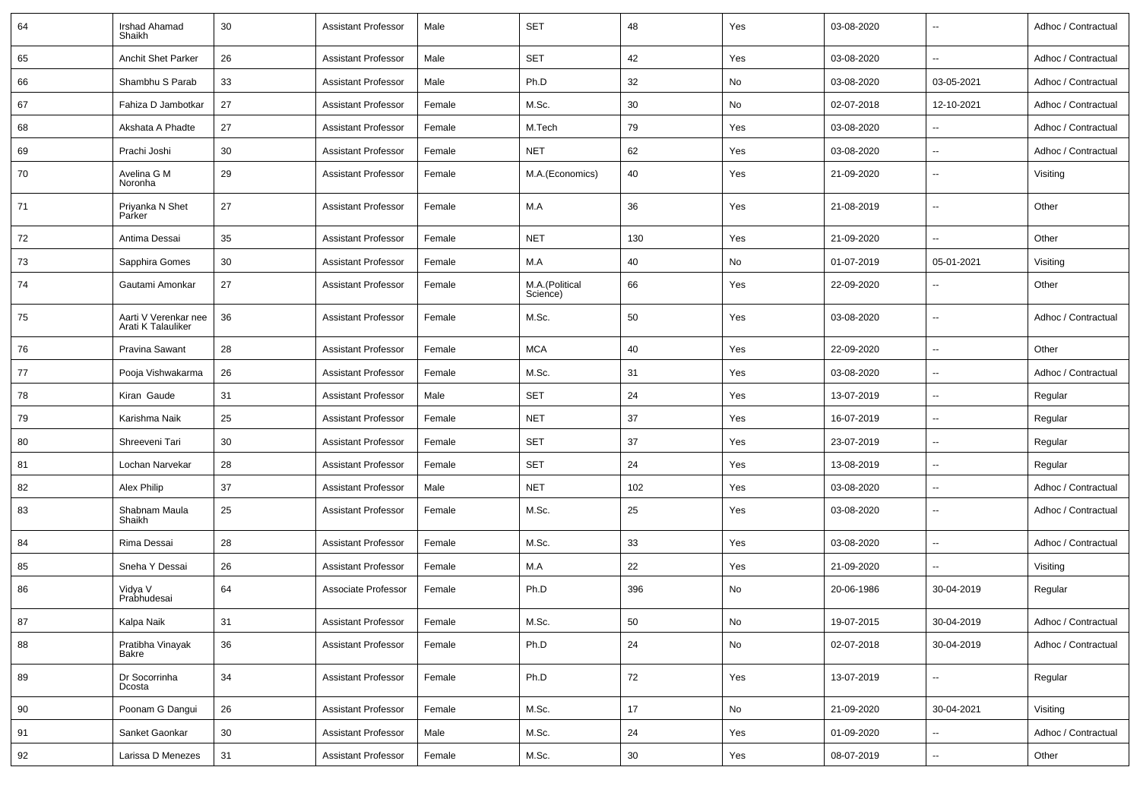| 64 | <b>Irshad Ahamad</b><br>Shaikh             | 30 | Assistant Professor        | Male   | <b>SET</b>                 | 48  | Yes           | 03-08-2020 | $\overline{\phantom{a}}$ | Adhoc / Contractual |
|----|--------------------------------------------|----|----------------------------|--------|----------------------------|-----|---------------|------------|--------------------------|---------------------|
| 65 | Anchit Shet Parker                         | 26 | Assistant Professor        | Male   | <b>SET</b>                 | 42  | Yes           | 03-08-2020 | $\sim$                   | Adhoc / Contractual |
| 66 | Shambhu S Parab                            | 33 | <b>Assistant Professor</b> | Male   | Ph.D                       | 32  | No            | 03-08-2020 | 03-05-2021               | Adhoc / Contractual |
| 67 | Fahiza D Jambotkar                         | 27 | <b>Assistant Professor</b> | Female | M.Sc.                      | 30  | No            | 02-07-2018 | 12-10-2021               | Adhoc / Contractual |
| 68 | Akshata A Phadte                           | 27 | <b>Assistant Professor</b> | Female | M.Tech                     | 79  | Yes           | 03-08-2020 | $\sim$                   | Adhoc / Contractual |
| 69 | Prachi Joshi                               | 30 | Assistant Professor        | Female | <b>NET</b>                 | 62  | Yes           | 03-08-2020 | $\sim$                   | Adhoc / Contractual |
| 70 | Avelina G M<br>Noronha                     | 29 | <b>Assistant Professor</b> | Female | M.A.(Economics)            | 40  | Yes           | 21-09-2020 | $\sim$                   | Visiting            |
| 71 | Priyanka N Shet<br>Parker                  | 27 | <b>Assistant Professor</b> | Female | M.A                        | 36  | Yes           | 21-08-2019 | $\sim$                   | Other               |
| 72 | Antima Dessai                              | 35 | <b>Assistant Professor</b> | Female | <b>NET</b>                 | 130 | Yes           | 21-09-2020 | $\sim$                   | Other               |
| 73 | Sapphira Gomes                             | 30 | Assistant Professor        | Female | M.A                        | 40  | No            | 01-07-2019 | 05-01-2021               | Visiting            |
| 74 | Gautami Amonkar                            | 27 | Assistant Professor        | Female | M.A.(Political<br>Science) | 66  | Yes           | 22-09-2020 | --                       | Other               |
| 75 | Aarti V Verenkar nee<br>Arati K Talauliker | 36 | Assistant Professor        | Female | M.Sc.                      | 50  | Yes           | 03-08-2020 | $\sim$                   | Adhoc / Contractual |
| 76 | Pravina Sawant                             | 28 | <b>Assistant Professor</b> | Female | <b>MCA</b>                 | 40  | Yes           | 22-09-2020 | $\sim$                   | Other               |
| 77 | Pooja Vishwakarma                          | 26 | <b>Assistant Professor</b> | Female | M.Sc.                      | 31  | Yes           | 03-08-2020 | $\overline{\phantom{a}}$ | Adhoc / Contractual |
| 78 | Kiran Gaude                                | 31 | <b>Assistant Professor</b> | Male   | <b>SET</b>                 | 24  | Yes           | 13-07-2019 | $\sim$                   | Regular             |
| 79 | Karishma Naik                              | 25 | <b>Assistant Professor</b> | Female | <b>NET</b>                 | 37  | Yes           | 16-07-2019 | $\sim$                   | Regular             |
| 80 | Shreeveni Tari                             | 30 | <b>Assistant Professor</b> | Female | <b>SET</b>                 | 37  | Yes           | 23-07-2019 | $\sim$                   | Regular             |
| 81 | Lochan Narvekar                            | 28 | Assistant Professor        | Female | <b>SET</b>                 | 24  | Yes           | 13-08-2019 | $\sim$                   | Regular             |
| 82 | Alex Philip                                | 37 | <b>Assistant Professor</b> | Male   | <b>NET</b>                 | 102 | Yes           | 03-08-2020 | $\overline{\phantom{a}}$ | Adhoc / Contractual |
| 83 | Shabnam Maula<br>Shaikh                    | 25 | <b>Assistant Professor</b> | Female | M.Sc.                      | 25  | Yes           | 03-08-2020 | $\sim$                   | Adhoc / Contractual |
| 84 | Rima Dessai                                | 28 | <b>Assistant Professor</b> | Female | M.Sc.                      | 33  | Yes           | 03-08-2020 | $\overline{\phantom{a}}$ | Adhoc / Contractual |
| 85 | Sneha Y Dessai                             | 26 | Assistant Professor        | Female | M.A                        | 22  | Yes           | 21-09-2020 | $\overline{\phantom{a}}$ | Visiting            |
| 86 | Vidya V<br>Prabhudesai                     | 64 | Associate Professor        | Female | Ph.D                       | 396 | No            | 20-06-1986 | 30-04-2019               | Regular             |
| 87 | Kalpa Naik                                 | 31 | Assistant Professor        | Female | M.Sc.                      | 50  | $\mathsf{No}$ | 19-07-2015 | 30-04-2019               | Adhoc / Contractual |
| 88 | Pratibha Vinayak<br>Bakre                  | 36 | <b>Assistant Professor</b> | Female | Ph.D                       | 24  | No            | 02-07-2018 | 30-04-2019               | Adhoc / Contractual |
| 89 | Dr Socorrinha<br>Dcosta                    | 34 | <b>Assistant Professor</b> | Female | Ph.D                       | 72  | Yes           | 13-07-2019 | $\sim$                   | Regular             |
| 90 | Poonam G Dangui                            | 26 | <b>Assistant Professor</b> | Female | M.Sc.                      | 17  | No            | 21-09-2020 | 30-04-2021               | Visiting            |
| 91 | Sanket Gaonkar                             | 30 | <b>Assistant Professor</b> | Male   | M.Sc.                      | 24  | Yes           | 01-09-2020 | $\overline{\phantom{a}}$ | Adhoc / Contractual |
| 92 | Larissa D Menezes                          | 31 | <b>Assistant Professor</b> | Female | M.Sc.                      | 30  | Yes           | 08-07-2019 | $\sim$                   | Other               |